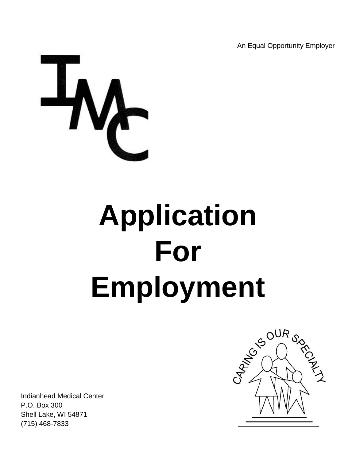An Equal Opportunity Employer



# **Application For Employment**

Indianhead Medical Center P.O. Box 300 Shell Lake, WI 54871 (715) 468-7833

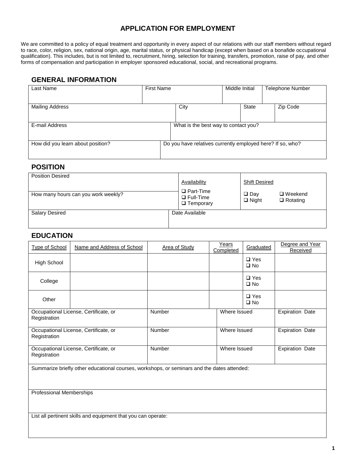### **APPLICATION FOR EMPLOYMENT**

We are committed to a policy of equal treatment and opportunity in every aspect of our relations with our staff members without regard to race, color, religion, sex, national origin, age, marital status, or physical handicap (except when based on a bonafide occupational qualification). This includes, but is not limited to, recruitment, hiring, selection for training, transfers, promotion, raise of pay, and other forms of compensation and participation in employer sponsored educational, social, and recreational programs.

#### **GENERAL INFORMATION**

| Last Name                         | <b>First Name</b> |                                                            |  | Middle Initial |  | <b>Telephone Number</b> |
|-----------------------------------|-------------------|------------------------------------------------------------|--|----------------|--|-------------------------|
| <b>Mailing Address</b>            |                   | City                                                       |  | <b>State</b>   |  | Zip Code                |
| E-mail Address                    |                   | What is the best way to contact you?                       |  |                |  |                         |
| How did you learn about position? |                   | Do you have relatives currently employed here? If so, who? |  |                |  |                         |

#### **POSITION**

| <b>Position Desired</b>             | Availability                                             | <b>Shift Desired</b>       |                                   |
|-------------------------------------|----------------------------------------------------------|----------------------------|-----------------------------------|
| How many hours can you work weekly? | $\Box$ Part-Time<br>$\Box$ Full-Time<br>$\Box$ Temporary | $\Box$ Day<br>$\Box$ Night | $\Box$ Weekend<br>$\Box$ Rotating |
| <b>Salary Desired</b>               | Date Available                                           |                            |                                   |

#### **EDUCATION**

| <b>Type of School</b>                                                                       | Name and Address of School            | <b>Area of Study</b> | Years<br>Completed | Graduated                     | Degree and Year<br>Received |
|---------------------------------------------------------------------------------------------|---------------------------------------|----------------------|--------------------|-------------------------------|-----------------------------|
| High School                                                                                 |                                       |                      |                    | $\square$ Yes<br>$\square$ No |                             |
| College                                                                                     |                                       |                      |                    | $\square$ Yes<br>$\square$ No |                             |
| Other                                                                                       |                                       |                      |                    | $\Box$ Yes<br>$\square$ No    |                             |
| Registration                                                                                | Occupational License, Certificate, or | Number               | Where Issued       |                               | <b>Expiration Date</b>      |
| Registration                                                                                | Occupational License, Certificate, or | Number               | Where Issued       |                               | <b>Expiration Date</b>      |
| Registration                                                                                | Occupational License, Certificate, or | Number               | Where Issued       |                               | <b>Expiration Date</b>      |
| Summarize briefly other educational courses, workshops, or seminars and the dates attended: |                                       |                      |                    |                               |                             |

Professional Memberships

List all pertinent skills and equipment that you can operate: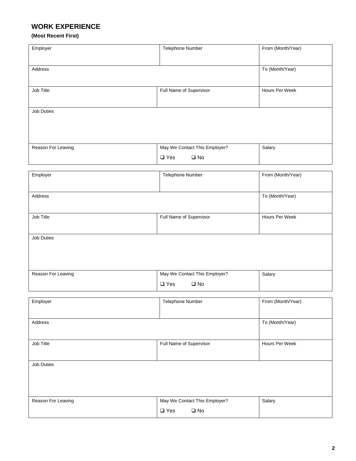## **WORK EXPERIENCE**

#### **(Most Recent First)**

| Employer           | Telephone Number                                               | From (Month/Year) |
|--------------------|----------------------------------------------------------------|-------------------|
| Address            |                                                                | To (Month/Year)   |
| Job Title          | Full Name of Supervisor                                        | Hours Per Week    |
| Job Duties         |                                                                |                   |
| Reason For Leaving | May We Contact This Employer?<br>$\square$ Yes<br>$\square$ No | Salary            |
| Employer           | Telephone Number                                               | From (Month/Year) |
| Address            |                                                                | To (Month/Year)   |
| Job Title          | Full Name of Supervisor                                        | Hours Per Week    |
| Job Duties         |                                                                |                   |
| Reason For Leaving | May We Contact This Employer?<br>$\square$ Yes<br>$\square$ No | Salary            |
| Employer           | Telephone Number                                               | From (Month/Year) |
| Address            |                                                                | To (Month/Year)   |
| Job Title          | Full Name of Supervisor                                        | Hours Per Week    |
| <b>Job Duties</b>  |                                                                |                   |
| Reason For Leaving | May We Contact This Employer?<br>$\square$ Yes<br>$\square$ No | Salary            |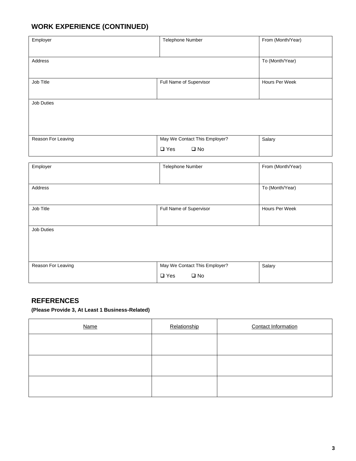## **WORK EXPERIENCE (CONTINUED)**

| Telephone Number              | From (Month/Year)                                                            |
|-------------------------------|------------------------------------------------------------------------------|
|                               |                                                                              |
|                               | To (Month/Year)                                                              |
|                               |                                                                              |
|                               | Hours Per Week                                                               |
|                               |                                                                              |
|                               |                                                                              |
|                               |                                                                              |
|                               |                                                                              |
| May We Contact This Employer? | Salary                                                                       |
|                               |                                                                              |
|                               | From (Month/Year)                                                            |
|                               |                                                                              |
|                               | To (Month/Year)                                                              |
|                               |                                                                              |
| Full Name of Supervisor       | Hours Per Week                                                               |
|                               |                                                                              |
|                               |                                                                              |
|                               |                                                                              |
|                               |                                                                              |
| May We Contact This Employer? | Salary                                                                       |
| $\square$ Yes<br>$\square$ No |                                                                              |
|                               | Full Name of Supervisor<br>$\square$ Yes<br>$\square$ No<br>Telephone Number |

## **REFERENCES**

**(Please Provide 3, At Least 1 Business-Related)**

| <b>Name</b> | Relationship | <b>Contact Information</b> |
|-------------|--------------|----------------------------|
|             |              |                            |
|             |              |                            |
|             |              |                            |
|             |              |                            |
|             |              |                            |